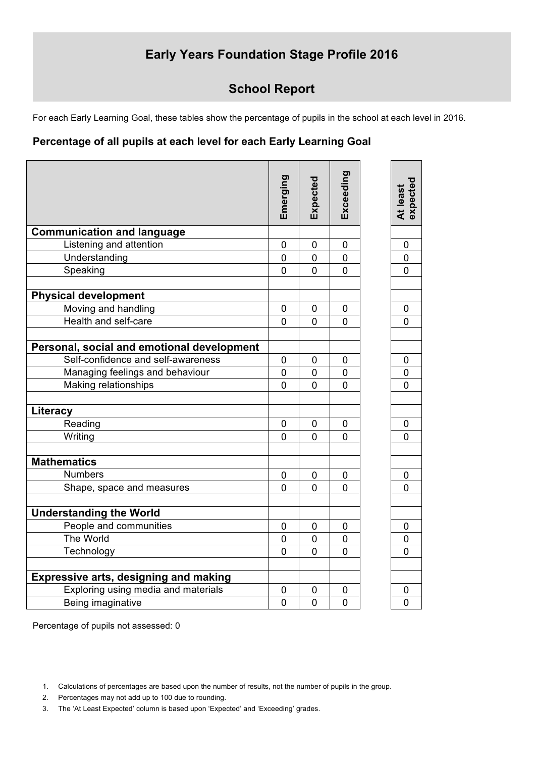# **Early Years Foundation Stage Profile 2016**

## **School Report**

For each Early Learning Goal, these tables show the percentage of pupils in the school at each level in 2016.

### **Percentage of all pupils at each level for each Early Learning Goal**

|                                              | Emerging       | Expected       | Exceeding      | At least<br>expected |
|----------------------------------------------|----------------|----------------|----------------|----------------------|
| <b>Communication and language</b>            |                |                |                |                      |
| Listening and attention                      | $\mathbf 0$    | $\overline{0}$ | 0              | $\mathbf 0$          |
| Understanding                                | $\overline{0}$ | 0              | $\overline{0}$ | $\pmb{0}$            |
| Speaking                                     | $\overline{0}$ | $\overline{0}$ | $\overline{0}$ | $\overline{0}$       |
| <b>Physical development</b>                  |                |                |                |                      |
| Moving and handling                          | $\overline{0}$ | 0              | 0              | 0                    |
| Health and self-care                         | $\Omega$       | $\overline{0}$ | $\overline{0}$ | $\overline{0}$       |
| Personal, social and emotional development   |                |                |                |                      |
| Self-confidence and self-awareness           | 0              | 0              | 0              | 0                    |
| Managing feelings and behaviour              | $\overline{0}$ | $\overline{0}$ | $\overline{0}$ | 0                    |
| Making relationships                         | $\overline{0}$ | 0              | 0              | $\Omega$             |
| Literacy                                     |                |                |                |                      |
| Reading                                      | $\overline{0}$ | 0              | 0              | 0                    |
| Writing                                      | 0              | $\Omega$       | $\mathbf 0$    | $\overline{0}$       |
| <b>Mathematics</b>                           |                |                |                |                      |
| <b>Numbers</b>                               | 0              | 0              | 0              | 0                    |
| Shape, space and measures                    | $\overline{0}$ | $\overline{0}$ | $\overline{0}$ | $\Omega$             |
| <b>Understanding the World</b>               |                |                |                |                      |
| People and communities                       | 0              | 0              | 0              | 0                    |
| The World                                    | $\overline{0}$ | 0              | $\overline{0}$ | 0                    |
| Technology                                   | $\overline{0}$ | $\overline{0}$ | $\overline{0}$ | 0                    |
| <b>Expressive arts, designing and making</b> |                |                |                |                      |
| Exploring using media and materials          | 0              | 0              | 0              | 0                    |
| Being imaginative                            | $\overline{0}$ | 0              | 0              | 0                    |
|                                              |                |                |                |                      |

Percentage of pupils not assessed: 0

- 2. Percentages may not add up to 100 due to rounding.
- 3. The 'At Least Expected' column is based upon 'Expected' and 'Exceeding' grades.

<sup>1.</sup> Calculations of percentages are based upon the number of results, not the number of pupils in the group.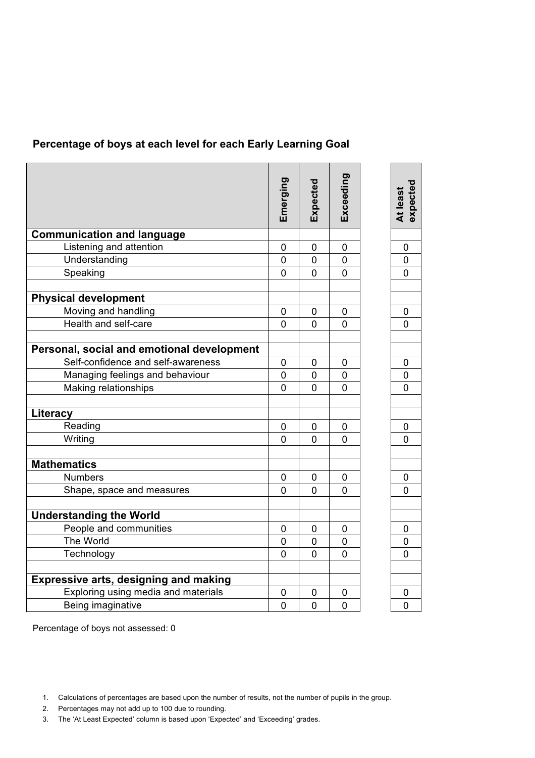### **Percentage of boys at each level for each Early Learning Goal**

|                                              | Emerging       | Expected       | Exceeding      | At least<br>expected |
|----------------------------------------------|----------------|----------------|----------------|----------------------|
| <b>Communication and language</b>            |                |                |                |                      |
| Listening and attention                      | $\mathbf 0$    | 0              | 0              | 0                    |
| Understanding                                | 0              | 0              | 0              | $\mathbf 0$          |
| Speaking                                     | 0              | 0              | 0              | 0                    |
| <b>Physical development</b>                  |                |                |                |                      |
| Moving and handling                          | $\overline{0}$ | $\overline{0}$ | 0              | 0                    |
| Health and self-care                         | $\overline{0}$ | $\Omega$       | 0              | 0                    |
| Personal, social and emotional development   |                |                |                |                      |
| Self-confidence and self-awareness           | $\pmb{0}$      | $\mathbf 0$    | 0              | 0                    |
| Managing feelings and behaviour              | $\pmb{0}$      | 0              | 0              | 0                    |
| Making relationships                         | $\overline{0}$ | $\overline{0}$ | $\overline{0}$ | $\overline{0}$       |
| Literacy                                     |                |                |                |                      |
| Reading                                      | $\mathbf 0$    | $\mathbf 0$    | 0              | 0                    |
| Writing                                      | $\overline{0}$ | 0              | 0              | 0                    |
| <b>Mathematics</b>                           |                |                |                |                      |
| <b>Numbers</b>                               | $\mathbf 0$    | $\mathbf 0$    | $\mathbf 0$    | 0                    |
| Shape, space and measures                    | 0              | 0              | 0              | 0                    |
| <b>Understanding the World</b>               |                |                |                |                      |
| People and communities                       | $\overline{0}$ | $\overline{0}$ | 0              | 0                    |
| The World                                    | 0              | 0              | 0              | 0                    |
| Technology                                   | $\overline{0}$ | $\overline{0}$ | 0              | 0                    |
| <b>Expressive arts, designing and making</b> |                |                |                |                      |
| Exploring using media and materials          | $\mathbf 0$    | 0              | 0              | 0                    |
| Being imaginative                            | 0              | 0              | 0              | 0                    |
|                                              |                |                |                |                      |

Percentage of boys not assessed: 0

- 2. Percentages may not add up to 100 due to rounding.
- 3. The 'At Least Expected' column is based upon 'Expected' and 'Exceeding' grades.

<sup>1.</sup> Calculations of percentages are based upon the number of results, not the number of pupils in the group.